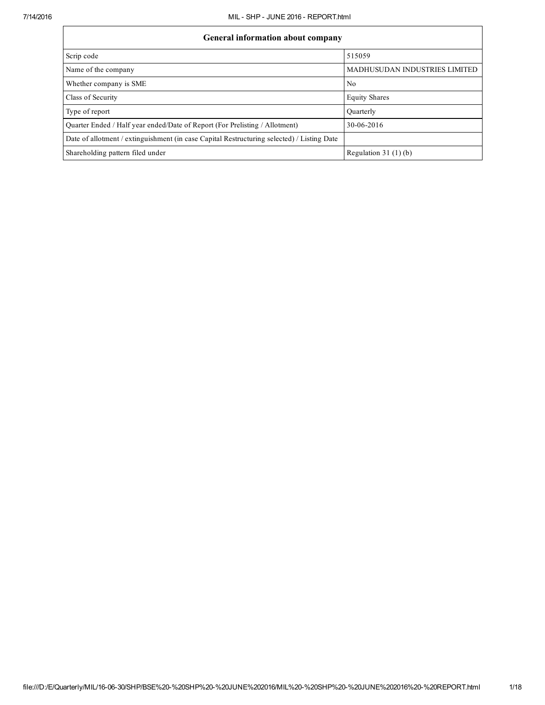| <b>General information about company</b>                                                   |                                      |  |  |  |  |  |  |
|--------------------------------------------------------------------------------------------|--------------------------------------|--|--|--|--|--|--|
| Scrip code                                                                                 | 515059                               |  |  |  |  |  |  |
| Name of the company                                                                        | <b>MADHUSUDAN INDUSTRIES LIMITED</b> |  |  |  |  |  |  |
| Whether company is SME                                                                     | No.                                  |  |  |  |  |  |  |
| Class of Security                                                                          | <b>Equity Shares</b>                 |  |  |  |  |  |  |
| Type of report                                                                             | Ouarterly                            |  |  |  |  |  |  |
| Quarter Ended / Half year ended/Date of Report (For Prelisting / Allotment)                | 30-06-2016                           |  |  |  |  |  |  |
| Date of allotment / extinguishment (in case Capital Restructuring selected) / Listing Date |                                      |  |  |  |  |  |  |
| Shareholding pattern filed under                                                           | Regulation 31 $(1)(b)$               |  |  |  |  |  |  |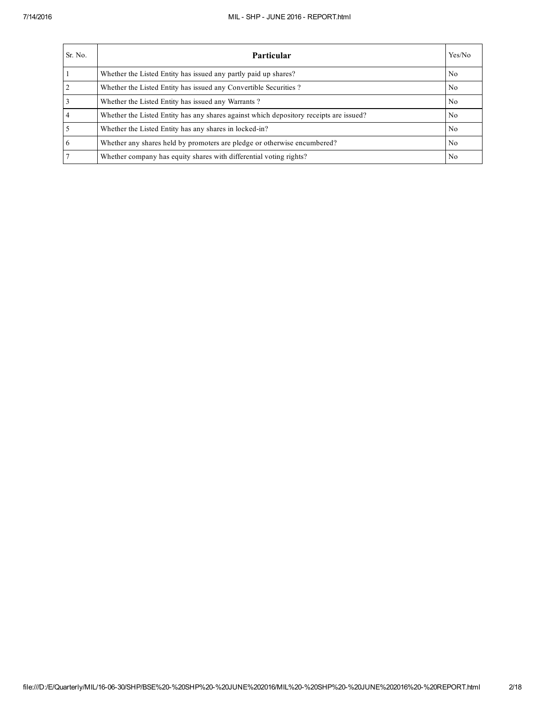## 7/14/2016 MIL SHP JUNE 2016 REPORT.html

| Sr. No.        | <b>Particular</b>                                                                      | Yes/No         |
|----------------|----------------------------------------------------------------------------------------|----------------|
|                | Whether the Listed Entity has issued any partly paid up shares?                        | No             |
| $\overline{2}$ | Whether the Listed Entity has issued any Convertible Securities?                       | N <sub>0</sub> |
| $\overline{3}$ | Whether the Listed Entity has issued any Warrants?                                     | N <sub>0</sub> |
| $\overline{4}$ | Whether the Listed Entity has any shares against which depository receipts are issued? | N <sub>0</sub> |
| $\overline{5}$ | Whether the Listed Entity has any shares in locked-in?                                 | N <sub>0</sub> |
| 6              | Whether any shares held by promoters are pledge or otherwise encumbered?               | N <sub>0</sub> |
| $\overline{7}$ | Whether company has equity shares with differential voting rights?                     | N <sub>0</sub> |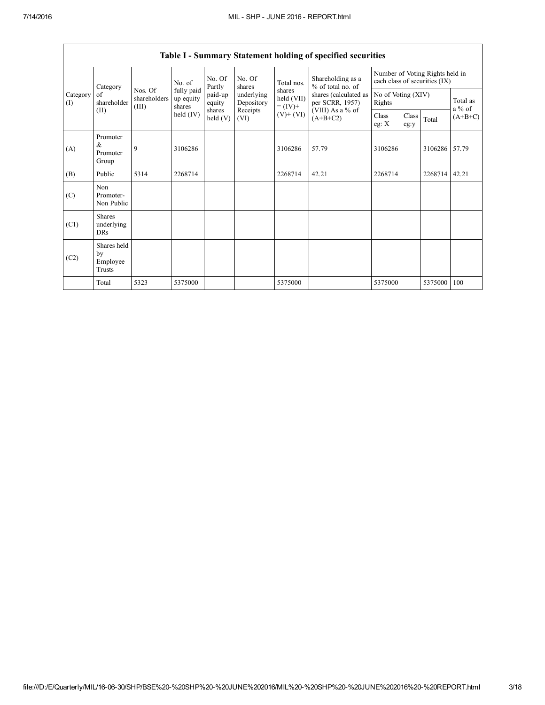|                 | Category                                |                                  | No. of                            |                             | No. Of<br>shares         | Total nos.                                                                     | Shareholding as a<br>% of total no. of | Number of Voting Rights held in<br>each class of securities (IX) |                    |           |                      |
|-----------------|-----------------------------------------|----------------------------------|-----------------------------------|-----------------------------|--------------------------|--------------------------------------------------------------------------------|----------------------------------------|------------------------------------------------------------------|--------------------|-----------|----------------------|
| Category<br>(I) | of<br>shareholder                       | Nos. Of<br>shareholders<br>(III) | fully paid<br>up equity<br>shares | Partly<br>paid-up<br>equity | underlying<br>Depository | shares<br>shares (calculated as<br>held (VII)<br>per SCRR, 1957)<br>$= (IV) +$ |                                        | Rights                                                           | No of Voting (XIV) |           | Total as<br>$a\%$ of |
| (II)            |                                         | held $(IV)$                      | shares<br>$\text{held}(V)$        | Receipts<br>(VI)            | $(V)$ + $(VI)$           | (VIII) As a % of<br>$(A+B+C2)$                                                 | Class<br>eg: $X$                       | Class<br>eg:y                                                    | Total              | $(A+B+C)$ |                      |
| (A)             | Promoter<br>&<br>Promoter<br>Group      | 9                                | 3106286                           |                             |                          | 3106286                                                                        | 57.79                                  | 3106286                                                          |                    | 3106286   | 57.79                |
| (B)             | Public                                  | 5314                             | 2268714                           |                             |                          | 2268714                                                                        | 42.21                                  | 2268714                                                          |                    | 2268714   | 42.21                |
| (C)             | Non<br>Promoter-<br>Non Public          |                                  |                                   |                             |                          |                                                                                |                                        |                                                                  |                    |           |                      |
| (C1)            | <b>Shares</b><br>underlying<br>DRs      |                                  |                                   |                             |                          |                                                                                |                                        |                                                                  |                    |           |                      |
| (C2)            | Shares held<br>by<br>Employee<br>Trusts |                                  |                                   |                             |                          |                                                                                |                                        |                                                                  |                    |           |                      |
|                 | Total                                   | 5323                             | 5375000                           |                             |                          | 5375000                                                                        |                                        | 5375000                                                          |                    | 5375000   | 100                  |

Table I - Summary Statement holding of specified securities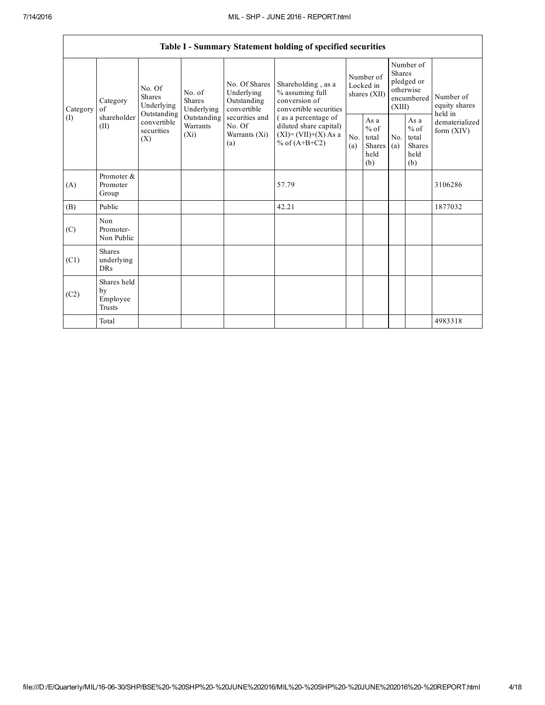$\mathsf{r}$ 

|          |                                                |                                                 |                                       |                                                                                                                                                                      | Table I - Summary Statement holding of specified securities            |                                        |                                                  |                                                                               |                                                  |                                       |
|----------|------------------------------------------------|-------------------------------------------------|---------------------------------------|----------------------------------------------------------------------------------------------------------------------------------------------------------------------|------------------------------------------------------------------------|----------------------------------------|--------------------------------------------------|-------------------------------------------------------------------------------|--------------------------------------------------|---------------------------------------|
| Category | Category<br>of                                 | No. Of<br><b>Shares</b><br>Underlying           | No. of<br><b>Shares</b><br>Underlying | No. Of Shares<br>Underlying<br>% assuming full<br>conversion of<br>Outstanding<br>convertible<br>securities and<br>No. Of<br>Warrants (Xi)<br>% of $(A+B+C2)$<br>(a) | Shareholding, as a<br>convertible securities                           | Number of<br>Locked in<br>shares (XII) |                                                  | Number of<br><b>Shares</b><br>pledged or<br>otherwise<br>encumbered<br>(XIII) |                                                  | Number of<br>equity shares<br>held in |
| (I)      | shareholder<br>(II)                            | Outstanding<br>convertible<br>securities<br>(X) | Outstanding<br>Warrants<br>$(X_i)$    |                                                                                                                                                                      | (as a percentage of<br>diluted share capital)<br>$(XI)=(VII)+(X) As a$ | No.<br>(a)                             | As a<br>$%$ of<br>total<br>Shares<br>held<br>(b) | No.<br>(a)                                                                    | As a<br>$%$ of<br>total<br>Shares<br>held<br>(b) | dematerialized<br>form $(XIV)$        |
| (A)      | Promoter &<br>Promoter<br>Group                |                                                 |                                       |                                                                                                                                                                      | 57.79                                                                  |                                        |                                                  |                                                                               |                                                  | 3106286                               |
| (B)      | Public                                         |                                                 |                                       |                                                                                                                                                                      | 42.21                                                                  |                                        |                                                  |                                                                               |                                                  | 1877032                               |
| (C)      | Non<br>Promoter-<br>Non Public                 |                                                 |                                       |                                                                                                                                                                      |                                                                        |                                        |                                                  |                                                                               |                                                  |                                       |
| (C1)     | <b>Shares</b><br>underlying<br><b>DRs</b>      |                                                 |                                       |                                                                                                                                                                      |                                                                        |                                        |                                                  |                                                                               |                                                  |                                       |
| (C2)     | Shares held<br>by<br>Employee<br><b>Trusts</b> |                                                 |                                       |                                                                                                                                                                      |                                                                        |                                        |                                                  |                                                                               |                                                  |                                       |
|          | Total                                          |                                                 |                                       |                                                                                                                                                                      |                                                                        |                                        |                                                  |                                                                               |                                                  | 4983318                               |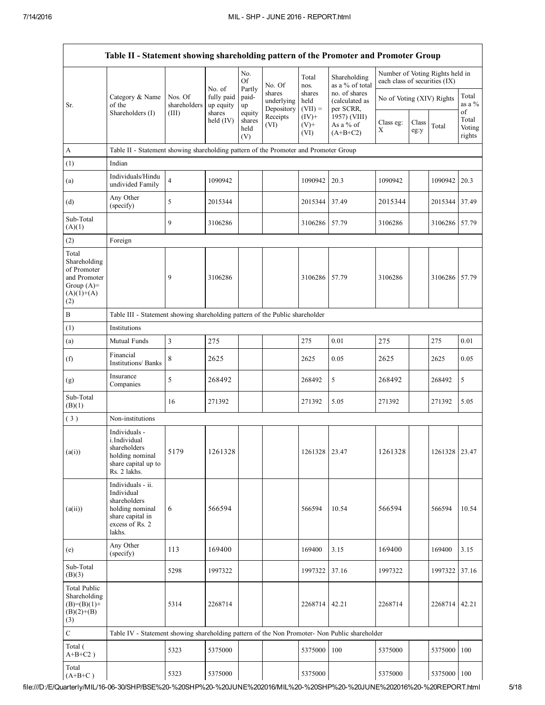|                                                                                             | Table II - Statement showing shareholding pattern of the Promoter and Promoter Group                                |                                  |                                             |                                 |                                    |                             |                                              |                                                                  |               |                         |                           |
|---------------------------------------------------------------------------------------------|---------------------------------------------------------------------------------------------------------------------|----------------------------------|---------------------------------------------|---------------------------------|------------------------------------|-----------------------------|----------------------------------------------|------------------------------------------------------------------|---------------|-------------------------|---------------------------|
|                                                                                             |                                                                                                                     |                                  |                                             | No.<br><b>Of</b>                | No. Of                             | Total<br>nos.               | Shareholding<br>as a % of total              | Number of Voting Rights held in<br>each class of securities (IX) |               |                         |                           |
| Sr.                                                                                         | Category & Name<br>of the<br>Shareholders (I)                                                                       | Nos. Of<br>shareholders<br>(III) | No. of<br>fully paid<br>up equity<br>shares | Partly<br>paid-<br>up<br>equity | shares<br>underlying<br>Depository | shares<br>held<br>$(VII) =$ | no. of shares<br>(calculated as<br>per SCRR, | No of Voting (XIV) Rights                                        |               | Total<br>as a $%$<br>of |                           |
|                                                                                             |                                                                                                                     |                                  | held $(IV)$                                 | shares<br>held<br>(V)           | Receipts<br>(VI)                   | $(IV)+$<br>$(V)$ +<br>(VI)  | 1957) (VIII)<br>As a % of<br>$(A+B+C2)$      | Class eg:<br>$\mathbf X$                                         | Class<br>eg:y | Total                   | Total<br>Voting<br>rights |
| A                                                                                           | Table II - Statement showing shareholding pattern of the Promoter and Promoter Group                                |                                  |                                             |                                 |                                    |                             |                                              |                                                                  |               |                         |                           |
| (1)                                                                                         | Indian                                                                                                              |                                  |                                             |                                 |                                    |                             |                                              |                                                                  |               |                         |                           |
| (a)                                                                                         | Individuals/Hindu<br>undivided Family                                                                               | $\overline{4}$                   | 1090942                                     |                                 |                                    | 1090942                     | 20.3                                         | 1090942                                                          |               | 1090942 20.3            |                           |
| (d)                                                                                         | Any Other<br>(specify)                                                                                              | 5                                | 2015344                                     |                                 |                                    | 2015344                     | 37.49                                        | 2015344                                                          |               | 2015344 37.49           |                           |
| Sub-Total<br>(A)(1)                                                                         |                                                                                                                     | 9                                | 3106286                                     |                                 |                                    | 3106286                     | 57.79                                        | 3106286                                                          |               | 3106286 57.79           |                           |
| (2)                                                                                         | Foreign                                                                                                             |                                  |                                             |                                 |                                    |                             |                                              |                                                                  |               |                         |                           |
| Total<br>Shareholding<br>of Promoter<br>and Promoter<br>Group $(A)=$<br>$(A)(1)+(A)$<br>(2) |                                                                                                                     | 9                                | 3106286                                     |                                 |                                    | 3106286                     | 57.79                                        | 3106286                                                          |               | 3106286                 | 57.79                     |
| B                                                                                           | Table III - Statement showing shareholding pattern of the Public shareholder                                        |                                  |                                             |                                 |                                    |                             |                                              |                                                                  |               |                         |                           |
| (1)                                                                                         | Institutions                                                                                                        |                                  |                                             |                                 |                                    |                             |                                              |                                                                  |               |                         |                           |
| (a)                                                                                         | Mutual Funds                                                                                                        | 3                                | 275                                         |                                 |                                    | 275                         | 0.01                                         | 275                                                              |               | 275                     | 0.01                      |
| (f)                                                                                         | Financial<br>Institutions/ Banks                                                                                    | 8                                | 2625                                        |                                 |                                    | 2625                        | 0.05                                         | 2625                                                             |               | 2625                    | 0.05                      |
| (g)                                                                                         | Insurance<br>Companies                                                                                              | 5                                | 268492                                      |                                 |                                    | 268492                      | 5                                            | 268492                                                           |               | 268492                  | 5                         |
| Sub-Total<br>(B)(1)                                                                         |                                                                                                                     | 16                               | 271392                                      |                                 |                                    | 271392                      | 5.05                                         | 271392                                                           |               | 271392                  | 5.05                      |
| (3)                                                                                         | Non-institutions                                                                                                    |                                  |                                             |                                 |                                    |                             |                                              |                                                                  |               |                         |                           |
| (a(i))                                                                                      | Individuals -<br>i.Individual<br>shareholders<br>holding nominal<br>share capital up to<br>Rs. 2 lakhs.             | 5179                             | 1261328                                     |                                 |                                    | 1261328   23.47             |                                              | 1261328                                                          |               | 1261328 23.47           |                           |
| (a(ii))                                                                                     | Individuals - ii.<br>Individual<br>shareholders<br>holding nominal<br>share capital in<br>excess of Rs. 2<br>lakhs. | 6                                | 566594                                      |                                 |                                    | 566594                      | 10.54                                        | 566594                                                           |               | 566594                  | 10.54                     |
| (e)                                                                                         | Any Other<br>(specify)                                                                                              | 113                              | 169400                                      |                                 |                                    | 169400                      | 3.15                                         | 169400                                                           |               | 169400                  | 3.15                      |
| Sub-Total<br>(B)(3)                                                                         |                                                                                                                     | 5298                             | 1997322                                     |                                 |                                    | 1997322                     | 37.16                                        | 1997322                                                          |               | 1997322                 | 37.16                     |
| Total Public<br>Shareholding<br>$(B)=(B)(1)+$<br>$(B)(2)+(B)$<br>(3)                        |                                                                                                                     | 5314                             | 2268714                                     |                                 |                                    | 2268714 42.21               |                                              | 2268714                                                          |               | 2268714                 | 42.21                     |
| $\mathbf C$                                                                                 | Table IV - Statement showing shareholding pattern of the Non Promoter- Non Public shareholder                       |                                  |                                             |                                 |                                    |                             |                                              |                                                                  |               |                         |                           |
| Total (<br>$A+B+C2$ )                                                                       |                                                                                                                     | 5323                             | 5375000                                     |                                 |                                    | 5375000                     | 100                                          | 5375000                                                          |               | 5375000                 | 100                       |
| Total<br>$(A+B+C)$                                                                          |                                                                                                                     | 5323                             | 5375000                                     |                                 |                                    | 5375000                     |                                              | 5375000                                                          |               | 5375000 100             |                           |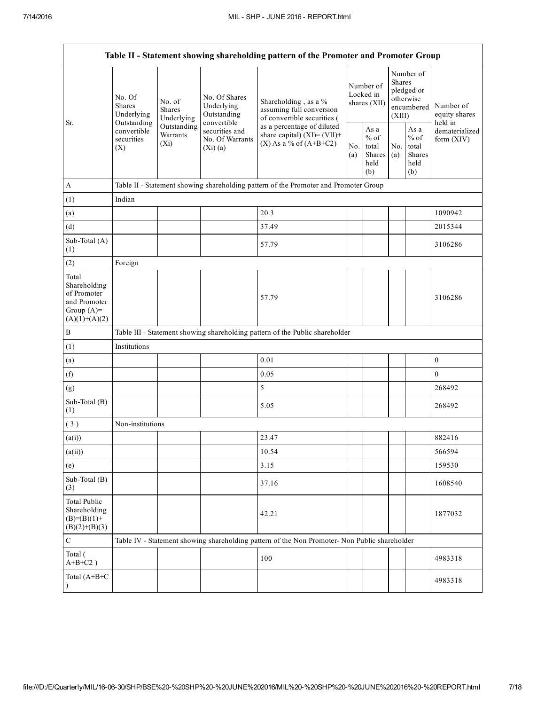| Table II - Statement showing shareholding pattern of the Promoter and Promoter Group    |                                                      |                                                                                    |                                                           |                                                                                               |  |                                                         |                                                                               |                                                         |                                       |
|-----------------------------------------------------------------------------------------|------------------------------------------------------|------------------------------------------------------------------------------------|-----------------------------------------------------------|-----------------------------------------------------------------------------------------------|--|---------------------------------------------------------|-------------------------------------------------------------------------------|---------------------------------------------------------|---------------------------------------|
| Sr.                                                                                     | No. Of<br><b>Shares</b><br>Underlying<br>Outstanding | No. of<br><b>Shares</b><br>Underlying                                              | No. Of Shares<br>Underlying<br>Outstanding<br>convertible | Shareholding, as a %<br>assuming full conversion<br>of convertible securities (               |  | Number of<br>Locked in<br>shares (XII)                  | Number of<br><b>Shares</b><br>pledged or<br>otherwise<br>encumbered<br>(XIII) |                                                         | Number of<br>equity shares<br>held in |
|                                                                                         | convertible<br>securities<br>(X)                     | Outstanding<br>securities and<br>Warrants<br>No. Of Warrants<br>$(X_i)$<br>(Xi)(a) |                                                           | as a percentage of diluted<br>share capital) $(XI) = (VII) +$<br>$(X)$ As a % of $(A+B+C2)$   |  | As a<br>$%$ of<br>total<br><b>Shares</b><br>held<br>(b) | No.<br>(a)                                                                    | As a<br>$%$ of<br>total<br><b>Shares</b><br>held<br>(b) | dematerialized<br>form $(XIV)$        |
| $\mathbf{A}$                                                                            |                                                      |                                                                                    |                                                           | Table II - Statement showing shareholding pattern of the Promoter and Promoter Group          |  |                                                         |                                                                               |                                                         |                                       |
| (1)                                                                                     | Indian                                               |                                                                                    |                                                           |                                                                                               |  |                                                         |                                                                               |                                                         |                                       |
| (a)                                                                                     |                                                      |                                                                                    |                                                           | 20.3                                                                                          |  |                                                         |                                                                               |                                                         | 1090942                               |
| (d)                                                                                     |                                                      |                                                                                    |                                                           | 37.49                                                                                         |  |                                                         |                                                                               |                                                         | 2015344                               |
| Sub-Total (A)<br>(1)                                                                    |                                                      |                                                                                    |                                                           | 57.79                                                                                         |  |                                                         |                                                                               |                                                         | 3106286                               |
| (2)                                                                                     | Foreign                                              |                                                                                    |                                                           |                                                                                               |  |                                                         |                                                                               |                                                         |                                       |
| Total<br>Shareholding<br>of Promoter<br>and Promoter<br>Group $(A)=$<br>$(A)(1)+(A)(2)$ |                                                      |                                                                                    |                                                           | 57.79                                                                                         |  |                                                         |                                                                               |                                                         | 3106286                               |
| $\, {\bf B}$                                                                            |                                                      |                                                                                    |                                                           | Table III - Statement showing shareholding pattern of the Public shareholder                  |  |                                                         |                                                                               |                                                         |                                       |
| (1)                                                                                     | Institutions                                         |                                                                                    |                                                           |                                                                                               |  |                                                         |                                                                               |                                                         |                                       |
| (a)                                                                                     |                                                      |                                                                                    |                                                           | 0.01                                                                                          |  |                                                         |                                                                               |                                                         | $\boldsymbol{0}$                      |
| (f)                                                                                     |                                                      |                                                                                    |                                                           | 0.05                                                                                          |  |                                                         |                                                                               |                                                         | $\mathbf{0}$                          |
| (g)                                                                                     |                                                      |                                                                                    |                                                           | 5                                                                                             |  |                                                         |                                                                               |                                                         | 268492                                |
| Sub-Total (B)<br>(1)                                                                    |                                                      |                                                                                    |                                                           | 5.05                                                                                          |  |                                                         |                                                                               |                                                         | 268492                                |
| (3)                                                                                     | Non-institutions                                     |                                                                                    |                                                           |                                                                                               |  |                                                         |                                                                               |                                                         |                                       |
| (a(i))                                                                                  |                                                      |                                                                                    |                                                           | 23.47                                                                                         |  |                                                         |                                                                               |                                                         | 882416                                |
| (a(ii))                                                                                 |                                                      |                                                                                    |                                                           | 10.54                                                                                         |  |                                                         |                                                                               |                                                         | 566594                                |
| (e)                                                                                     |                                                      |                                                                                    |                                                           | 3.15                                                                                          |  |                                                         |                                                                               |                                                         | 159530                                |
| Sub-Total (B)<br>(3)                                                                    |                                                      |                                                                                    |                                                           | 37.16                                                                                         |  |                                                         |                                                                               |                                                         | 1608540                               |
| <b>Total Public</b><br>Shareholding<br>$(B)=(B)(1)+$<br>$(B)(2)+(B)(3)$                 |                                                      |                                                                                    |                                                           | 42.21                                                                                         |  |                                                         |                                                                               |                                                         | 1877032                               |
| $\mathbf C$                                                                             |                                                      |                                                                                    |                                                           | Table IV - Statement showing shareholding pattern of the Non Promoter- Non Public shareholder |  |                                                         |                                                                               |                                                         |                                       |
| Total (<br>$A+B+C2$ )                                                                   |                                                      |                                                                                    |                                                           | 100                                                                                           |  |                                                         |                                                                               |                                                         | 4983318                               |
| Total (A+B+C<br>$\mathcal{Y}$                                                           |                                                      |                                                                                    |                                                           |                                                                                               |  |                                                         |                                                                               |                                                         | 4983318                               |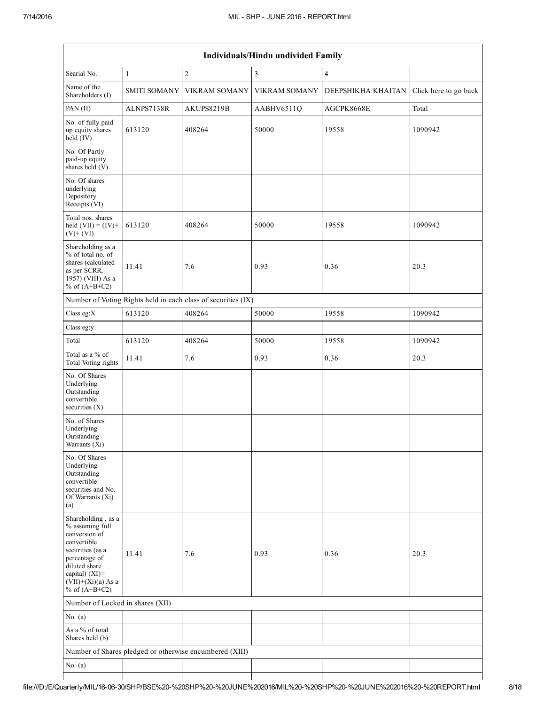| Individuals/Hindu undivided Family                                                                                                                                                       |                     |                                                               |                      |                    |                       |  |  |  |
|------------------------------------------------------------------------------------------------------------------------------------------------------------------------------------------|---------------------|---------------------------------------------------------------|----------------------|--------------------|-----------------------|--|--|--|
| Searial No.                                                                                                                                                                              | $\mathbf{1}$        | $\overline{c}$                                                | 3                    | $\overline{4}$     |                       |  |  |  |
| Name of the<br>Shareholders (I)                                                                                                                                                          | <b>SMITI SOMANY</b> | <b>VIKRAM SOMANY</b>                                          | <b>VIKRAM SOMANY</b> | DEEPSHIKHA KHAITAN | Click here to go back |  |  |  |
| PAN (II)                                                                                                                                                                                 | ALNPS7138R          | AKUPS8219B                                                    | AABHV6511Q           | AGCPK8668E         | Total                 |  |  |  |
| No. of fully paid<br>up equity shares<br>$held$ (IV)                                                                                                                                     | 613120              | 408264                                                        | 50000                | 19558              | 1090942               |  |  |  |
| No. Of Partly<br>paid-up equity<br>shares held (V)                                                                                                                                       |                     |                                                               |                      |                    |                       |  |  |  |
| No. Of shares<br>underlying<br>Depository<br>Receipts (VI)                                                                                                                               |                     |                                                               |                      |                    |                       |  |  |  |
| Total nos. shares<br>held $(VII) = (IV) +$<br>$(V)$ + $(VI)$                                                                                                                             | 613120              | 408264                                                        | 50000                | 19558              | 1090942               |  |  |  |
| Shareholding as a<br>% of total no. of<br>shares (calculated<br>as per SCRR,<br>1957) (VIII) As a<br>% of $(A+B+C2)$                                                                     | 11.41               | 7.6                                                           | 0.93                 | 0.36               | 20.3                  |  |  |  |
|                                                                                                                                                                                          |                     | Number of Voting Rights held in each class of securities (IX) |                      |                    |                       |  |  |  |
| Class eg:X                                                                                                                                                                               | 613120              | 408264                                                        | 50000                | 19558              | 1090942               |  |  |  |
| Class eg:y                                                                                                                                                                               |                     |                                                               |                      |                    |                       |  |  |  |
| Total                                                                                                                                                                                    | 613120              | 408264                                                        | 50000                | 19558              | 1090942               |  |  |  |
| Total as a % of<br>Total Voting rights                                                                                                                                                   | 11.41               | 7.6                                                           | 0.93                 | 0.36               | 20.3                  |  |  |  |
| No. Of Shares<br>Underlying<br>Outstanding<br>convertible<br>securities (X)                                                                                                              |                     |                                                               |                      |                    |                       |  |  |  |
| No. of Shares<br>Underlying<br>Outstanding<br>Warrants (Xi)                                                                                                                              |                     |                                                               |                      |                    |                       |  |  |  |
| No. Of Shares<br>Underlying<br>Outstanding<br>convertible<br>securities and No.<br>Of Warrants (Xi)<br>(a)                                                                               |                     |                                                               |                      |                    |                       |  |  |  |
| Shareholding, as a<br>% assuming full<br>conversion of<br>convertible<br>securities (as a<br>percentage of<br>diluted share<br>capital) (XI)=<br>$(VII)+(Xi)(a)$ As a<br>% of $(A+B+C2)$ | 11.41               | 7.6                                                           | 0.93                 | 0.36               | 20.3                  |  |  |  |
| Number of Locked in shares (XII)                                                                                                                                                         |                     |                                                               |                      |                    |                       |  |  |  |
| No. $(a)$                                                                                                                                                                                |                     |                                                               |                      |                    |                       |  |  |  |
| As a % of total<br>Shares held (b)                                                                                                                                                       |                     |                                                               |                      |                    |                       |  |  |  |
|                                                                                                                                                                                          |                     | Number of Shares pledged or otherwise encumbered (XIII)       |                      |                    |                       |  |  |  |
| No. $(a)$                                                                                                                                                                                |                     |                                                               |                      |                    |                       |  |  |  |
|                                                                                                                                                                                          |                     |                                                               |                      |                    |                       |  |  |  |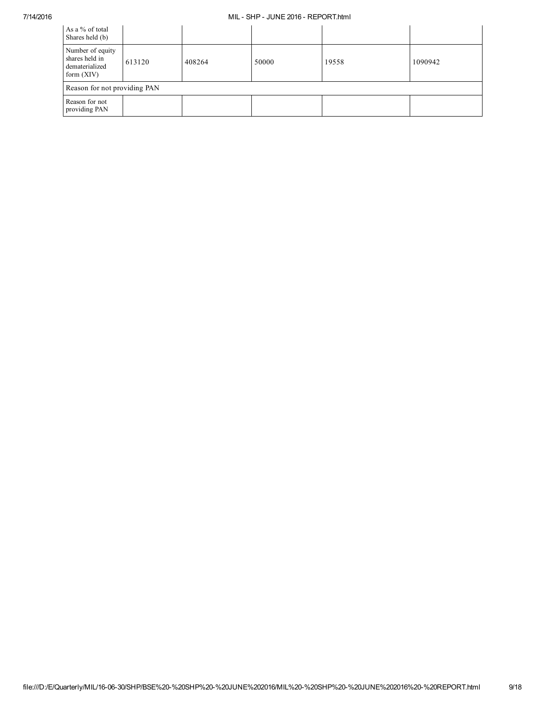## 7/14/2016 MIL SHP JUNE 2016 REPORT.html

| As a % of total<br>Shares held (b)                                   |        |        |       |       |         |  |  |  |  |
|----------------------------------------------------------------------|--------|--------|-------|-------|---------|--|--|--|--|
| Number of equity<br>shares held in<br>dematerialized<br>form $(XIV)$ | 613120 | 408264 | 50000 | 19558 | 1090942 |  |  |  |  |
| Reason for not providing PAN                                         |        |        |       |       |         |  |  |  |  |
| Reason for not<br>providing PAN                                      |        |        |       |       |         |  |  |  |  |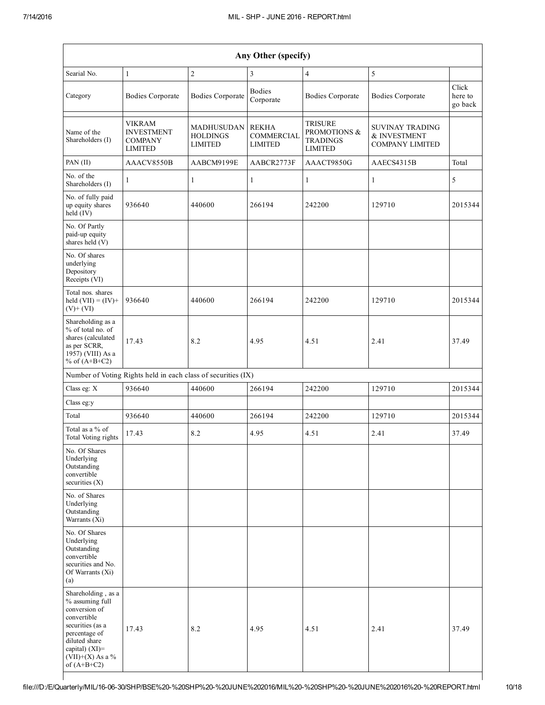|                                                                                                                                                                                         | Any Other (specify)                                             |                                                 |                                                     |                                                                     |                                                           |                             |  |  |  |  |  |
|-----------------------------------------------------------------------------------------------------------------------------------------------------------------------------------------|-----------------------------------------------------------------|-------------------------------------------------|-----------------------------------------------------|---------------------------------------------------------------------|-----------------------------------------------------------|-----------------------------|--|--|--|--|--|
| Searial No.                                                                                                                                                                             | $\mathbf{1}$                                                    | $\overline{c}$                                  | $\mathfrak{Z}$                                      | $\overline{4}$                                                      | 5                                                         |                             |  |  |  |  |  |
| Category                                                                                                                                                                                | <b>Bodies Corporate</b>                                         | <b>Bodies Corporate</b>                         | <b>Bodies</b><br>Corporate                          | <b>Bodies Corporate</b>                                             | <b>Bodies Corporate</b>                                   | Click<br>here to<br>go back |  |  |  |  |  |
| Name of the<br>Shareholders (I)                                                                                                                                                         | VIKRAM<br><b>INVESTMENT</b><br><b>COMPANY</b><br><b>LIMITED</b> | MADHUSUDAN<br><b>HOLDINGS</b><br><b>LIMITED</b> | <b>REKHA</b><br><b>COMMERCIAL</b><br><b>LIMITED</b> | <b>TRISURE</b><br>PROMOTIONS &<br><b>TRADINGS</b><br><b>LIMITED</b> | SUVINAY TRADING<br>& INVESTMENT<br><b>COMPANY LIMITED</b> |                             |  |  |  |  |  |
| PAN (II)                                                                                                                                                                                | AAACV8550B                                                      | AABCM9199E                                      | AABCR2773F                                          | AAACT9850G                                                          | AAECS4315B                                                | Total                       |  |  |  |  |  |
| No. of the<br>Shareholders (I)                                                                                                                                                          | 1                                                               | $\mathbf{1}$                                    | $\mathbf{1}$                                        | $\mathbf{1}$                                                        | $\mathbf{1}$                                              | 5                           |  |  |  |  |  |
| No. of fully paid<br>up equity shares<br>held (IV)                                                                                                                                      | 936640                                                          | 440600                                          | 266194                                              | 242200                                                              | 129710                                                    | 2015344                     |  |  |  |  |  |
| No. Of Partly<br>paid-up equity<br>shares held (V)                                                                                                                                      |                                                                 |                                                 |                                                     |                                                                     |                                                           |                             |  |  |  |  |  |
| No. Of shares<br>underlying<br>Depository<br>Receipts (VI)                                                                                                                              |                                                                 |                                                 |                                                     |                                                                     |                                                           |                             |  |  |  |  |  |
| Total nos. shares<br>held $(VII) = (IV) +$<br>$(V)+(VI)$                                                                                                                                | 936640                                                          | 440600                                          | 266194                                              | 242200                                                              | 129710                                                    | 2015344                     |  |  |  |  |  |
| Shareholding as a<br>% of total no. of<br>shares (calculated<br>as per SCRR,<br>1957) (VIII) As a<br>% of $(A+B+C2)$                                                                    | 17.43                                                           | 8.2                                             | 4.95                                                | 4.51                                                                | 2.41                                                      | 37.49                       |  |  |  |  |  |
|                                                                                                                                                                                         | Number of Voting Rights held in each class of securities (IX)   |                                                 |                                                     |                                                                     |                                                           |                             |  |  |  |  |  |
| Class eg: X                                                                                                                                                                             | 936640                                                          | 440600                                          | 266194                                              | 242200                                                              | 129710                                                    | 2015344                     |  |  |  |  |  |
| Class eg:y                                                                                                                                                                              |                                                                 |                                                 |                                                     |                                                                     |                                                           |                             |  |  |  |  |  |
| Total                                                                                                                                                                                   | 936640                                                          | 440600                                          | 266194                                              | 242200                                                              | 129710                                                    | 2015344                     |  |  |  |  |  |
| Total as a % of<br>Total Voting rights                                                                                                                                                  | 17.43                                                           | 8.2                                             | 4.95                                                | 4.51                                                                | 2.41                                                      | 37.49                       |  |  |  |  |  |
| No. Of Shares<br>Underlying<br>Outstanding<br>convertible<br>securities $(X)$                                                                                                           |                                                                 |                                                 |                                                     |                                                                     |                                                           |                             |  |  |  |  |  |
| No. of Shares<br>Underlying<br>Outstanding<br>Warrants $(X_i)$                                                                                                                          |                                                                 |                                                 |                                                     |                                                                     |                                                           |                             |  |  |  |  |  |
| No. Of Shares<br>Underlying<br>Outstanding<br>convertible<br>securities and No.<br>Of Warrants (Xi)<br>(a)                                                                              |                                                                 |                                                 |                                                     |                                                                     |                                                           |                             |  |  |  |  |  |
| Shareholding, as a<br>% assuming full<br>conversion of<br>convertible<br>securities (as a<br>percentage of<br>diluted share<br>capital) $(XI)$ =<br>$(VII)+(X)$ As a %<br>of $(A+B+C2)$ | 17.43                                                           | 8.2                                             | 4.95                                                | 4.51                                                                | 2.41                                                      | 37.49                       |  |  |  |  |  |

 $\overline{\phantom{a}}$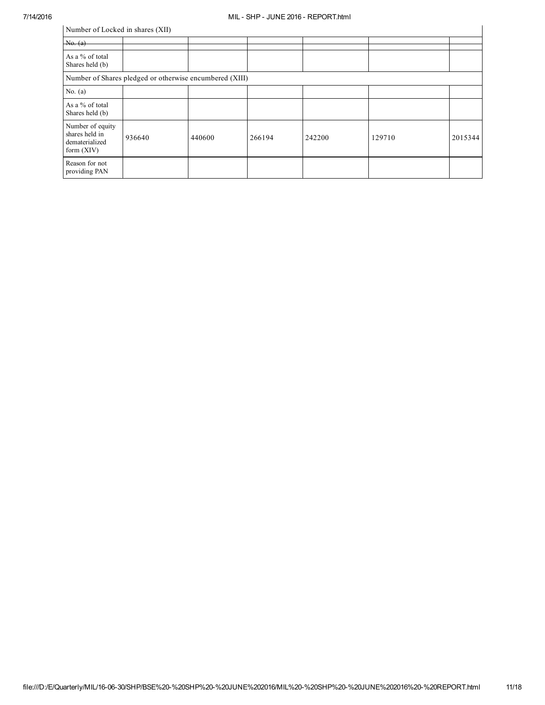|                                                                      | Number of Locked in shares (XII)                        |        |        |        |        |         |  |  |  |  |
|----------------------------------------------------------------------|---------------------------------------------------------|--------|--------|--------|--------|---------|--|--|--|--|
| No. (a)                                                              |                                                         |        |        |        |        |         |  |  |  |  |
| As a % of total<br>Shares held (b)                                   |                                                         |        |        |        |        |         |  |  |  |  |
|                                                                      | Number of Shares pledged or otherwise encumbered (XIII) |        |        |        |        |         |  |  |  |  |
| No. $(a)$                                                            |                                                         |        |        |        |        |         |  |  |  |  |
| As a % of total<br>Shares held (b)                                   |                                                         |        |        |        |        |         |  |  |  |  |
| Number of equity<br>shares held in<br>dematerialized<br>form $(XIV)$ | 936640                                                  | 440600 | 266194 | 242200 | 129710 | 2015344 |  |  |  |  |
| Reason for not<br>providing PAN                                      |                                                         |        |        |        |        |         |  |  |  |  |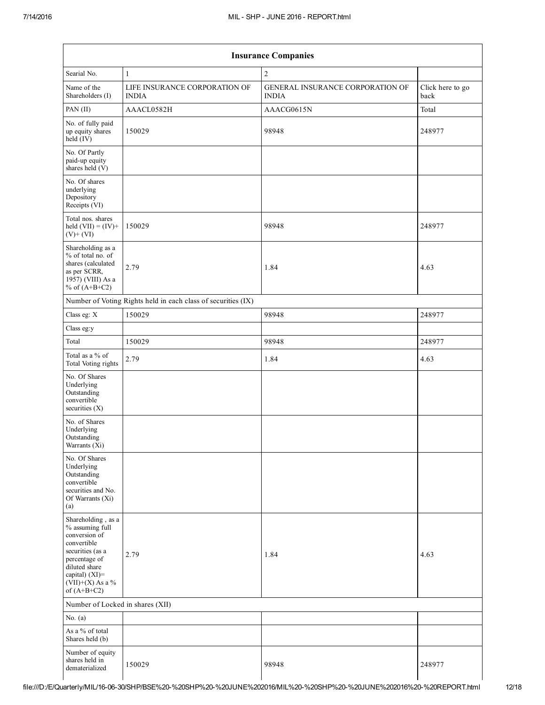$\mathsf{l}$ 

| <b>Insurance Companies</b>                                                                                                                                                           |                                                               |                                                  |                          |  |  |  |  |  |
|--------------------------------------------------------------------------------------------------------------------------------------------------------------------------------------|---------------------------------------------------------------|--------------------------------------------------|--------------------------|--|--|--|--|--|
| Searial No.                                                                                                                                                                          | $\mathbf{1}$                                                  | $\overline{2}$                                   |                          |  |  |  |  |  |
| Name of the<br>Shareholders (I)                                                                                                                                                      | LIFE INSURANCE CORPORATION OF<br><b>INDIA</b>                 | GENERAL INSURANCE CORPORATION OF<br><b>INDIA</b> | Click here to go<br>back |  |  |  |  |  |
| PAN (II)                                                                                                                                                                             | AAACL0582H                                                    | AAACG0615N                                       | Total                    |  |  |  |  |  |
| No. of fully paid<br>up equity shares<br>$held$ (IV)                                                                                                                                 | 150029                                                        | 98948                                            | 248977                   |  |  |  |  |  |
| No. Of Partly<br>paid-up equity<br>shares held $(V)$                                                                                                                                 |                                                               |                                                  |                          |  |  |  |  |  |
| No. Of shares<br>underlying<br>Depository<br>Receipts (VI)                                                                                                                           |                                                               |                                                  |                          |  |  |  |  |  |
| Total nos. shares<br>held $(VII) = (IV) +$<br>$(V) + (VI)$                                                                                                                           | 150029                                                        | 98948                                            | 248977                   |  |  |  |  |  |
| Shareholding as a<br>% of total no. of<br>shares (calculated<br>as per SCRR,<br>1957) (VIII) As a<br>% of $(A+B+C2)$                                                                 | 2.79                                                          | 1.84                                             | 4.63                     |  |  |  |  |  |
|                                                                                                                                                                                      | Number of Voting Rights held in each class of securities (IX) |                                                  |                          |  |  |  |  |  |
| Class eg: X                                                                                                                                                                          | 150029                                                        | 98948                                            | 248977                   |  |  |  |  |  |
| Class eg:y                                                                                                                                                                           |                                                               |                                                  |                          |  |  |  |  |  |
| Total                                                                                                                                                                                | 150029                                                        | 98948                                            | 248977                   |  |  |  |  |  |
| Total as a % of<br>Total Voting rights                                                                                                                                               | 2.79                                                          | 1.84                                             | 4.63                     |  |  |  |  |  |
| No. Of Shares<br>Underlying<br>Outstanding<br>convertible<br>securities $(X)$                                                                                                        |                                                               |                                                  |                          |  |  |  |  |  |
| No. of Shares<br>Underlying<br>Outstanding<br>Warrants (Xi)                                                                                                                          |                                                               |                                                  |                          |  |  |  |  |  |
| No. Of Shares<br>Underlying<br>Outstanding<br>convertible<br>securities and No.<br>Of Warrants (Xi)<br>(a)                                                                           |                                                               |                                                  |                          |  |  |  |  |  |
| Shareholding, as a<br>% assuming full<br>conversion of<br>convertible<br>securities (as a<br>percentage of<br>diluted share<br>capital) (XI)=<br>$(VII)+(X)$ As a %<br>of $(A+B+C2)$ | 2.79                                                          | 1.84                                             | 4.63                     |  |  |  |  |  |
| Number of Locked in shares (XII)                                                                                                                                                     |                                                               |                                                  |                          |  |  |  |  |  |
| No. $(a)$                                                                                                                                                                            |                                                               |                                                  |                          |  |  |  |  |  |
| As a % of total<br>Shares held (b)                                                                                                                                                   |                                                               |                                                  |                          |  |  |  |  |  |
| Number of equity<br>shares held in<br>dematerialized                                                                                                                                 | 150029                                                        | 98948                                            | 248977                   |  |  |  |  |  |

 $\overline{\phantom{a}}$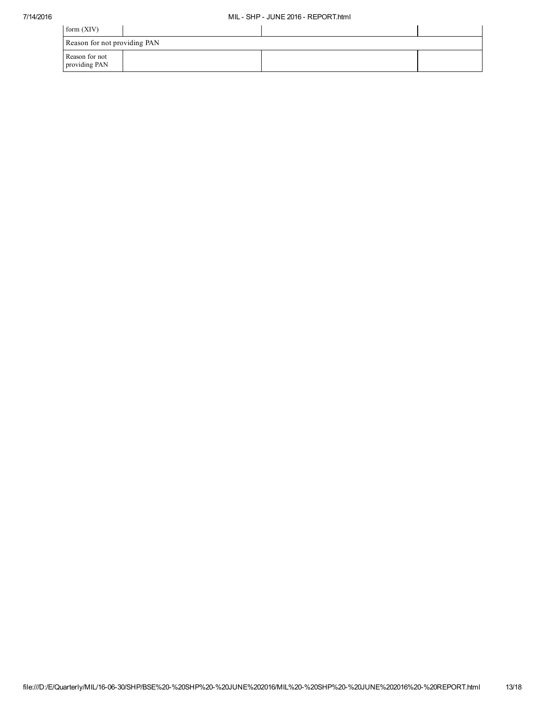| form $(XIV)$                    |  |  |  |  |
|---------------------------------|--|--|--|--|
| Reason for not providing PAN    |  |  |  |  |
| Reason for not<br>providing PAN |  |  |  |  |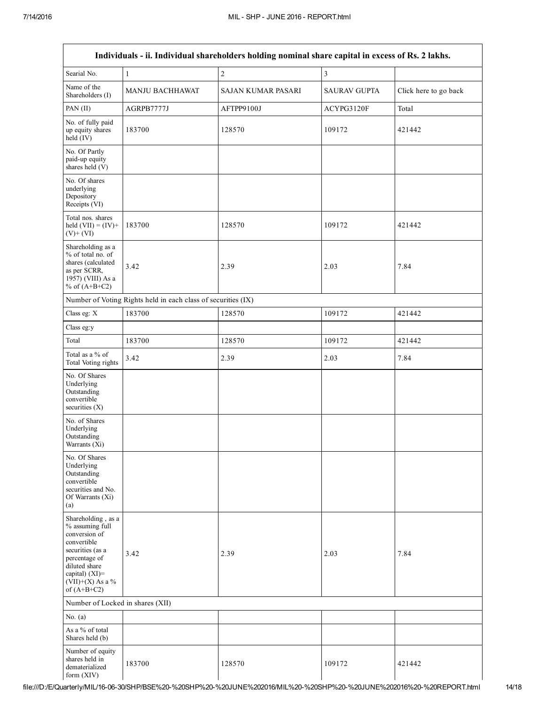| Individuals - ii. Individual shareholders holding nominal share capital in excess of Rs. 2 lakhs.                                                                                    |                                                               |                    |                     |                       |  |  |
|--------------------------------------------------------------------------------------------------------------------------------------------------------------------------------------|---------------------------------------------------------------|--------------------|---------------------|-----------------------|--|--|
| Searial No.                                                                                                                                                                          | $\mathbf{1}$                                                  | $\boldsymbol{2}$   | 3                   |                       |  |  |
| Name of the<br>Shareholders (I)                                                                                                                                                      | MANJU BACHHAWAT                                               | SAJAN KUMAR PASARI | <b>SAURAV GUPTA</b> | Click here to go back |  |  |
| PAN (II)                                                                                                                                                                             | AGRPB7777J                                                    | AFTPP9100J         | ACYPG3120F          | Total                 |  |  |
| No. of fully paid<br>up equity shares<br>$held$ (IV)                                                                                                                                 | 183700                                                        | 128570             | 109172              | 421442                |  |  |
| No. Of Partly<br>paid-up equity<br>shares held (V)                                                                                                                                   |                                                               |                    |                     |                       |  |  |
| No. Of shares<br>underlying<br>Depository<br>Receipts (VI)                                                                                                                           |                                                               |                    |                     |                       |  |  |
| Total nos. shares<br>held $(VII) = (IV) +$<br>$(V)+(VI)$                                                                                                                             | 183700                                                        | 128570             | 109172              | 421442                |  |  |
| Shareholding as a<br>% of total no. of<br>shares (calculated<br>as per SCRR,<br>1957) (VIII) As a<br>% of $(A+B+C2)$                                                                 | 3.42                                                          | 2.39               | 2.03                | 7.84                  |  |  |
|                                                                                                                                                                                      | Number of Voting Rights held in each class of securities (IX) |                    |                     |                       |  |  |
| Class eg: X                                                                                                                                                                          | 183700                                                        | 128570             | 109172              | 421442                |  |  |
| Class eg:y                                                                                                                                                                           |                                                               |                    |                     |                       |  |  |
| Total                                                                                                                                                                                | 183700                                                        | 128570             | 109172              | 421442                |  |  |
| Total as a % of<br>Total Voting rights                                                                                                                                               | 3.42                                                          | 2.39               | 2.03                | 7.84                  |  |  |
| No. Of Shares<br>Underlying<br>Outstanding<br>convertible<br>securities $(X)$                                                                                                        |                                                               |                    |                     |                       |  |  |
| No. of Shares<br>Underlying<br>Outstanding<br>Warrants (Xi)                                                                                                                          |                                                               |                    |                     |                       |  |  |
| No. Of Shares<br>Underlying<br>Outstanding<br>convertible<br>securities and No.<br>Of Warrants (Xi)<br>(a)                                                                           |                                                               |                    |                     |                       |  |  |
| Shareholding, as a<br>% assuming full<br>conversion of<br>convertible<br>securities (as a<br>percentage of<br>diluted share<br>capital) (XI)=<br>$(VII)+(X)$ As a %<br>of $(A+B+C2)$ | 3.42                                                          | 2.39               | 2.03                | 7.84                  |  |  |
| Number of Locked in shares (XII)                                                                                                                                                     |                                                               |                    |                     |                       |  |  |
| No. $(a)$                                                                                                                                                                            |                                                               |                    |                     |                       |  |  |
| As a % of total<br>Shares held (b)                                                                                                                                                   |                                                               |                    |                     |                       |  |  |
| Number of equity<br>shares held in<br>dematerialized<br>form (XIV)                                                                                                                   | 183700                                                        | 128570             | 109172              | 421442                |  |  |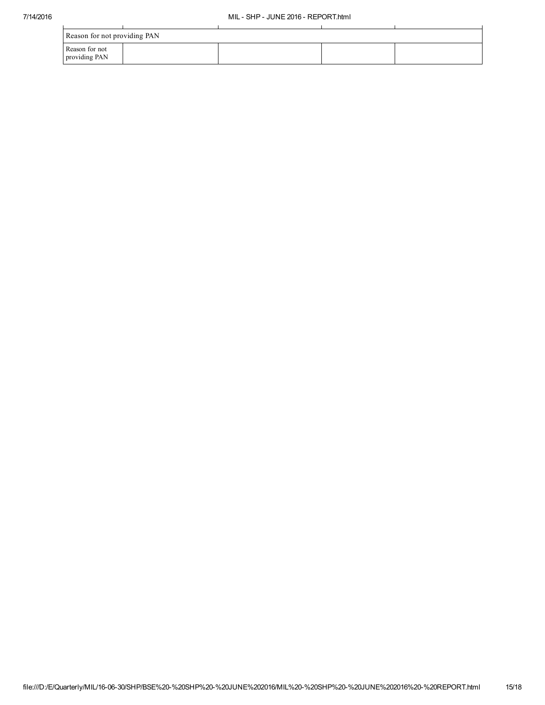| Reason for not providing PAN    |  |  |  |  |  |
|---------------------------------|--|--|--|--|--|
| Reason for not<br>providing PAN |  |  |  |  |  |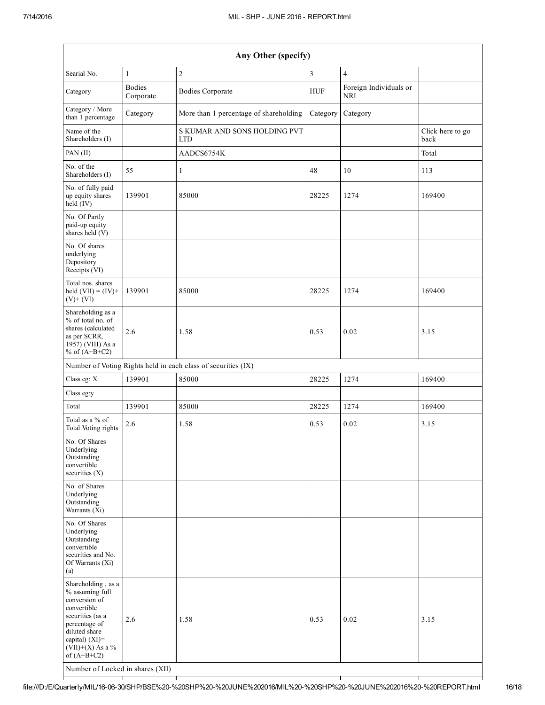| Any Other (specify)                                                                                                                                                                  |                            |                                                               |                |                               |                          |
|--------------------------------------------------------------------------------------------------------------------------------------------------------------------------------------|----------------------------|---------------------------------------------------------------|----------------|-------------------------------|--------------------------|
| Searial No.                                                                                                                                                                          | $\mathbf{1}$               | $\overline{c}$                                                | $\mathfrak{Z}$ | $\overline{4}$                |                          |
| Category                                                                                                                                                                             | <b>Bodies</b><br>Corporate | <b>Bodies Corporate</b>                                       | HUF            | Foreign Individuals or<br>NRI |                          |
| Category / More<br>than 1 percentage                                                                                                                                                 | Category                   | More than 1 percentage of shareholding                        | Category       | Category                      |                          |
| Name of the<br>Shareholders (I)                                                                                                                                                      |                            | S KUMAR AND SONS HOLDING PVT<br><b>LTD</b>                    |                |                               | Click here to go<br>back |
| PAN (II)                                                                                                                                                                             |                            | AADCS6754K                                                    |                |                               | Total                    |
| No. of the<br>Shareholders (I)                                                                                                                                                       | 55                         | $\mathbf{1}$                                                  | 48             | 10                            | 113                      |
| No. of fully paid<br>up equity shares<br>$held$ (IV)                                                                                                                                 | 139901                     | 85000                                                         | 28225          | 1274                          | 169400                   |
| No. Of Partly<br>paid-up equity<br>shares held $(V)$                                                                                                                                 |                            |                                                               |                |                               |                          |
| No. Of shares<br>underlying<br>Depository<br>Receipts (VI)                                                                                                                           |                            |                                                               |                |                               |                          |
| Total nos. shares<br>held $(VII) = (IV) +$<br>$(V)$ + $(VI)$                                                                                                                         | 139901                     | 85000                                                         | 28225          | 1274                          | 169400                   |
| Shareholding as a<br>% of total no. of<br>shares (calculated<br>as per SCRR,<br>1957) (VIII) As a<br>% of $(A+B+C2)$                                                                 | 2.6                        | 1.58                                                          | 0.53           | 0.02                          | 3.15                     |
|                                                                                                                                                                                      |                            | Number of Voting Rights held in each class of securities (IX) |                |                               |                          |
| Class eg: X                                                                                                                                                                          | 139901                     | 85000                                                         | 28225          | 1274                          | 169400                   |
| Class eg:y                                                                                                                                                                           |                            |                                                               |                |                               |                          |
| Total                                                                                                                                                                                | 139901                     | 85000                                                         | 28225          | 1274                          | 169400                   |
| Total as a % of<br>Total Voting rights                                                                                                                                               | 2.6                        | 1.58                                                          | 0.53           | 0.02                          | 3.15                     |
| No. Of Shares<br>Underlying<br>Outstanding<br>convertible<br>securities $(X)$                                                                                                        |                            |                                                               |                |                               |                          |
| No. of Shares<br>Underlying<br>Outstanding<br>Warrants (Xi)                                                                                                                          |                            |                                                               |                |                               |                          |
| No. Of Shares<br>Underlying<br>Outstanding<br>convertible<br>securities and No.<br>Of Warrants (Xi)<br>(a)                                                                           |                            |                                                               |                |                               |                          |
| Shareholding, as a<br>% assuming full<br>conversion of<br>convertible<br>securities (as a<br>percentage of<br>diluted share<br>capital) (XI)=<br>$(VII)+(X)$ As a %<br>of $(A+B+C2)$ | 2.6                        | 1.58                                                          | 0.53           | 0.02                          | 3.15                     |
| Number of Locked in shares (XII)                                                                                                                                                     |                            |                                                               |                |                               |                          |